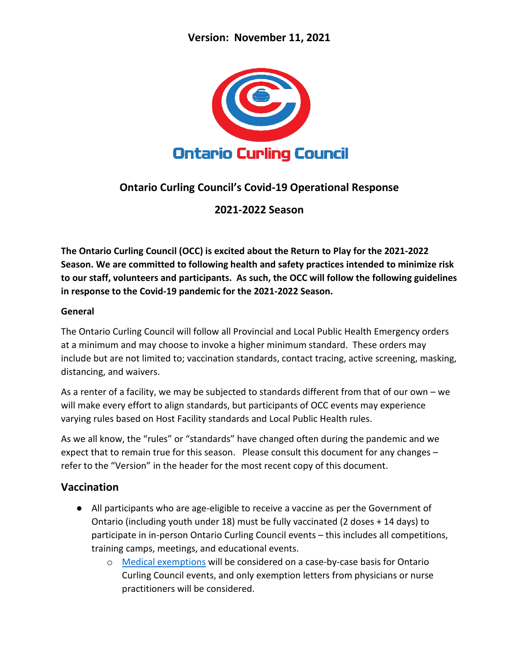

# **Ontario Curling Council's Covid-19 Operational Response**

**2021-2022 Season**

**The Ontario Curling Council (OCC) is excited about the Return to Play for the 2021-2022 Season. We are committed to following health and safety practices intended to minimize risk to our staff, volunteers and participants. As such, the OCC will follow the following guidelines in response to the Covid-19 pandemic for the 2021-2022 Season.**

#### **General**

The Ontario Curling Council will follow all Provincial and Local Public Health Emergency orders at a minimum and may choose to invoke a higher minimum standard. These orders may include but are not limited to; vaccination standards, contact tracing, active screening, masking, distancing, and waivers.

As a renter of a facility, we may be subjected to standards different from that of our own – we will make every effort to align standards, but participants of OCC events may experience varying rules based on Host Facility standards and Local Public Health rules.

As we all know, the "rules" or "standards" have changed often during the pandemic and we expect that to remain true for this season. Please consult this document for any changes – refer to the "Version" in the header for the most recent copy of this document.

# **Vaccination**

- All participants who are age-eligible to receive a vaccine as per the Government of Ontario (including youth under 18) must be fully vaccinated (2 doses + 14 days) to participate in in-person Ontario Curling Council events – this includes all competitions, training camps, meetings, and educational events.
	- o [Medical exemptions](https://covid-19.ontario.ca/proof-covid-19-vaccination) will be considered on a case-by-case basis for Ontario Curling Council events, and only exemption letters from physicians or nurse practitioners will be considered.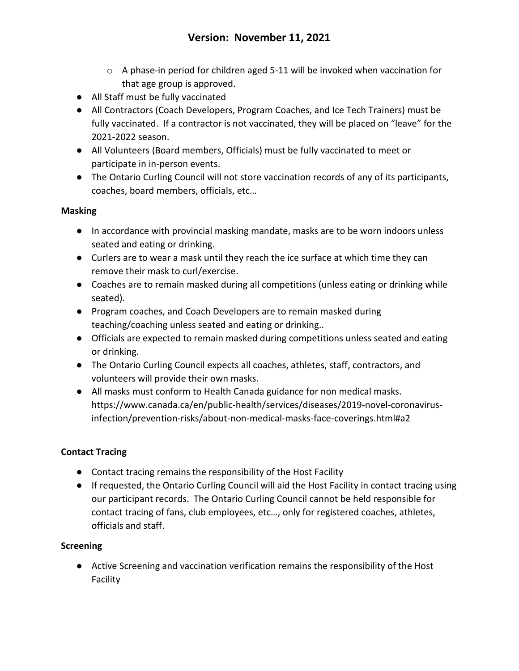- $\circ$  A phase-in period for children aged 5-11 will be invoked when vaccination for that age group is approved.
- All Staff must be fully vaccinated
- All Contractors (Coach Developers, Program Coaches, and Ice Tech Trainers) must be fully vaccinated. If a contractor is not vaccinated, they will be placed on "leave" for the 2021-2022 season.
- All Volunteers (Board members, Officials) must be fully vaccinated to meet or participate in in-person events.
- The Ontario Curling Council will not store vaccination records of any of its participants, coaches, board members, officials, etc…

### **Masking**

- In accordance with provincial masking mandate, masks are to be worn indoors unless seated and eating or drinking.
- Curlers are to wear a mask until they reach the ice surface at which time they can remove their mask to curl/exercise.
- Coaches are to remain masked during all competitions (unless eating or drinking while seated).
- Program coaches, and Coach Developers are to remain masked during teaching/coaching unless seated and eating or drinking..
- Officials are expected to remain masked during competitions unless seated and eating or drinking.
- The Ontario Curling Council expects all coaches, athletes, staff, contractors, and volunteers will provide their own masks.
- All masks must conform to Health Canada guidance for non medical masks. https://www.canada.ca/en/public-health/services/diseases/2019-novel-coronavirusinfection/prevention-risks/about-non-medical-masks-face-coverings.html#a2

# **Contact Tracing**

- Contact tracing remains the responsibility of the Host Facility
- If requested, the Ontario Curling Council will aid the Host Facility in contact tracing using our participant records. The Ontario Curling Council cannot be held responsible for contact tracing of fans, club employees, etc…, only for registered coaches, athletes, officials and staff.

# **Screening**

● Active Screening and vaccination verification remains the responsibility of the Host Facility